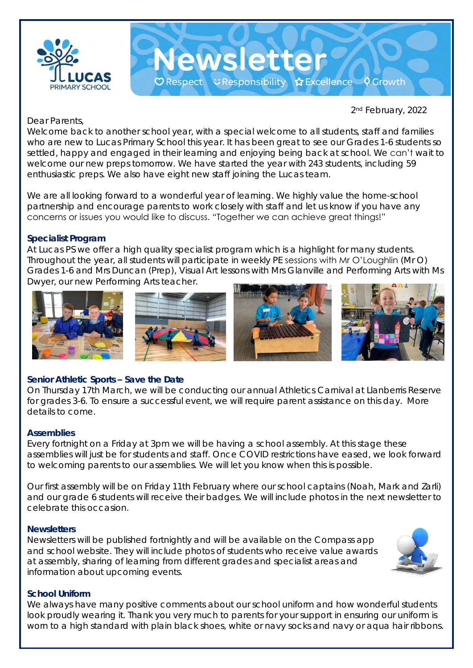

2nd February, 2022

## Dear Parents,

Welcome back to another school year, with a special welcome to all students, staff and families who are new to Lucas Primary School this year. It has been great to see our Grades 1-6 students so settled, happy and engaged in their learning and enjoying being back at school. We can't wait to welcome our new preps tomorrow. We have started the year with 243 students, including 59 enthusiastic preps. We also have eight new staff joining the Lucas team.

Newsletter

○ Respect こ Responsibility ☆ Excellence ♀ Growth

We are all looking forward to a wonderful year of learning. We highly value the home-school partnership and encourage parents to work closely with staff and let us know if you have any concerns or issues you would like to discuss. "Together we can achieve great things!"

## **Specialist Program**

At Lucas PS we offer a high quality specialist program which is a highlight for many students. Throughout the year, all students will participate in weekly PE sessions with Mr O'Loughlin (Mr O) Grades 1-6 and Mrs Duncan (Prep), Visual Art lessons with Mrs Glanville and Performing Arts with Ms Dwyer, our new Performing Arts teacher.



### **Senior Athletic Sports – Save the Date**

On Thursday 17th March, we will be conducting our annual Athletics Carnival at Llanberris Reserve for grades 3-6. To ensure a successful event, we will require parent assistance on this day. More details to come.

### **Assemblies**

Every fortnight on a Friday at 3pm we will be having a school assembly. At this stage these assemblies will just be for students and staff. Once COVID restrictions have eased, we look forward to welcoming parents to our assemblies. We will let you know when this is possible.

Our first assembly will be on Friday 11th February where our school captains (Noah, Mark and Zarli) and our grade 6 students will receive their badges. We will include photos in the next newsletter to celebrate this occasion.

### **Newsletters**

Newsletters will be published fortnightly and will be available on the Compass app and school website. They will include photos of students who receive value awards at assembly, sharing of learning from different grades and specialist areas and information about upcoming events.



### **School Uniform**

We always have many positive comments about our school uniform and how wonderful students look proudly wearing it. Thank you very much to parents for your support in ensuring our uniform is worn to a high standard with plain black shoes, white or navy socks and navy or aqua hair ribbons.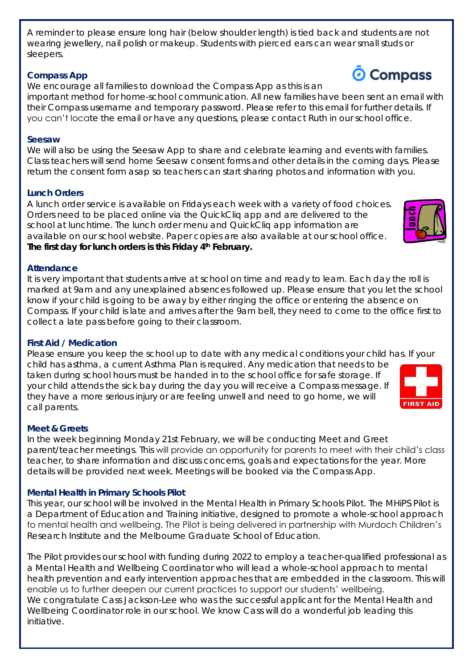A reminder to please ensure long hair (below shoulder length) is tied back and students are not wearing jewellery, nail polish or makeup. Students with pierced ears can wear small studs or sleepers.

### **Compass App**

We encourage all families to download the Compass App as this is an important method for home-school communication. All new families have been sent an email with their Compass username and temporary password. Please refer to this email for further details. If you can't locate the email or have any questions, please contact Ruth in our school office.

### **Seesaw**

We will also be using the Seesaw App to share and celebrate learning and events with families. Class teachers will send home Seesaw consent forms and other details in the coming days. Please return the consent form asap so teachers can start sharing photos and information with you.

## **Lunch Orders**

A lunch order service is available on Fridays each week with a variety of food choices. Orders need to be placed online via the QuickCliq app and are delivered to the school at lunchtime. The lunch order menu and QuickCliq app information are available on our school website. Paper copies are also available at our school office. **The first day for lunch orders is this Friday 4th February.** 

## **Attendance**

It is very important that students arrive at school on time and ready to learn. Each day the roll is marked at 9am and any unexplained absences followed up. Please ensure that you let the school know if your child is going to be away by either ringing the office or entering the absence on Compass. If your child is late and arrives after the 9am bell, they need to come to the office first to collect a late pass before going to their classroom.

# **First Aid / Medication**

Please ensure you keep the school up to date with any medical conditions your child has. If your child has asthma, a current Asthma Plan is required. Any medication that needs to be taken during school hours must be handed in to the school office for safe storage. If your child attends the sick bay during the day you will receive a Compass message. If they have a more serious injury or are feeling unwell and need to go home, we will call parents.

## **Meet & Greets**

In the week beginning Monday 21st February, we will be conducting Meet and Greet parent/teacher meetings. This will provide an opportunity for parents to meet with their child's class teacher, to share information and discuss concerns, goals and expectations for the year. More details will be provided next week. Meetings will be booked via the Compass App.

# **Mental Health in Primary Schools Pilot**

This year, our school will be involved in the Mental Health in Primary Schools Pilot. The MHiPS Pilot is a Department of Education and Training initiative, designed to promote a whole-school approach to mental health and wellbeing. The Pilot is being delivered in partnership with Murdoch Children's Research Institute and the Melbourne Graduate School of Education.

The Pilot provides our school with funding during 2022 to employ a teacher-qualified professional as a Mental Health and Wellbeing Coordinator who will lead a whole-school approach to mental health prevention and early intervention approaches that are embedded in the classroom. This will enable us to further deepen our current practices to support our students' wellbeing. We congratulate Cass Jackson-Lee who was the successful applicant for the Mental Health and Wellbeing Coordinator role in our school. We know Cass will do a wonderful job leading this initiative.